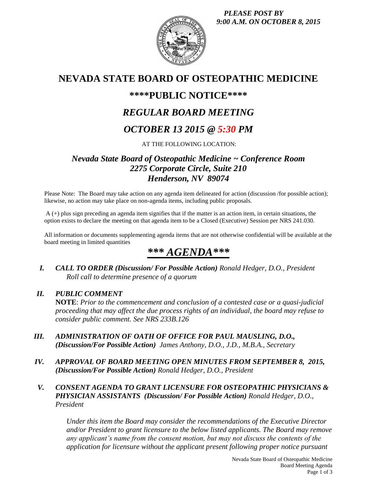*PLEASE POST BY 9:00 A.M. ON OCTOBER 8, 2015*



# **NEVADA STATE BOARD OF OSTEOPATHIC MEDICINE**

# **\*\*\*\*PUBLIC NOTICE\*\*\*\***

# *REGULAR BOARD MEETING*

# *OCTOBER 13 2015 @ 5:30 PM*

AT THE FOLLOWING LOCATION:

# *Nevada State Board of Osteopathic Medicine ~ Conference Room 2275 Corporate Circle, Suite 210 Henderson, NV 89074*

Please Note: The Board may take action on any agenda item delineated for action (discussion /for possible action); likewise, no action may take place on non-agenda items, including public proposals.

A (+) plus sign preceding an agenda item signifies that if the matter is an action item, in certain situations, the option exists to declare the meeting on that agenda item to be a Closed (Executive) Session per NRS 241.030.

All information or documents supplementing agenda items that are not otherwise confidential will be available at the board meeting in limited quantities

# *\*\*\* AGENDA\*\*\**

*I. CALL TO ORDER (Discussion/ For Possible Action) Ronald Hedger, D.O., President Roll call to determine presence of a quorum*

## *II. PUBLIC COMMENT*

**NOTE**: *Prior to the commencement and conclusion of a contested case or a quasi-judicial proceeding that may affect the due process rights of an individual, the board may refuse to consider public comment. See NRS 233B.126*

- *III. ADMINISTRATION OF OATH OF OFFICE FOR PAUL MAUSLING, D.O., (Discussion/For Possible Action) James Anthony, D.O., J.D., M.B.A., Secretary*
- *IV. APPROVAL OF BOARD MEETING OPEN MINUTES FROM SEPTEMBER 8, 2015, (Discussion/For Possible Action) Ronald Hedger, D.O., President*
- *V. CONSENT AGENDA TO GRANT LICENSURE FOR OSTEOPATHIC PHYSICIANS & PHYSICIAN ASSISTANTS (Discussion/ For Possible Action) Ronald Hedger, D.O., President*

*Under this item the Board may consider the recommendations of the Executive Director and/or President to grant licensure to the below listed applicants. The Board may remove any applicant's name from the consent motion, but may not discuss the contents of the application for licensure without the applicant present following proper notice pursuant*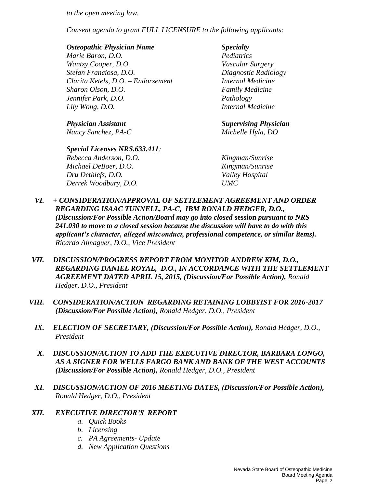*to the open meeting law.* 

*Consent agenda to grant FULL LICENSURE to the following applicants:*

## *Osteopathic Physician Name Specialty*

*Marie Baron, D.O. Pediatrics Wantzy Cooper, D.O. Vascular Surgery Stefan Franciosa, D.O. Diagnostic Radiology Clarita Ketels, D.O. – Endorsement Internal Medicine Sharon Olson, D.O. Family Medicine Jennifer Park, D.O. Pathology Lily Wong, D.O. Internal Medicine*

*Nancy Sanchez, PA-C Michelle Hyla, DO*

## *Special Licenses NRS.633.411:*

*Rebecca Anderson, D.O. Kingman/Sunrise Michael DeBoer, D.O. Kingman/Sunrise Dru Dethlefs, D.O. Valley Hospital Derrek Woodbury, D.O. UMC*

*Physician Assistant Supervising Physician*

- *VI. + CONSIDERATION/APPROVAL OF SETTLEMENT AGREEMENT AND ORDER REGARDING ISAAC TUNNELL, PA-C, IBM RONALD HEDGER, D.O., (Discussion/For Possible Action/Board may go into closed* **session** *pursuant to NRS 241.030 to move to a closed session because the discussion will have to do with this applicant's character, alleged misconduct, professional competence, or similar items). Ricardo Almaguer, D.O., Vice President*
- *VII. DISCUSSION/PROGRESS REPORT FROM MONITOR ANDREW KIM, D.O., REGARDING DANIEL ROYAL, D.O., IN ACCORDANCE WITH THE SETTLEMENT AGREEMENT DATED APRIL 15, 2015, (Discussion/For Possible Action), Ronald Hedger, D.O., President*
- *VIII. CONSIDERATION/ACTION REGARDING RETAINING LOBBYIST FOR 2016-2017 (Discussion/For Possible Action), Ronald Hedger, D.O., President*
	- *IX. ELECTION OF SECRETARY, (Discussion/For Possible Action), Ronald Hedger, D.O., President*
	- *X. DISCUSSION/ACTION TO ADD THE EXECUTIVE DIRECTOR, BARBARA LONGO, AS A SIGNER FOR WELLS FARGO BANK AND BANK OF THE WEST ACCOUNTS (Discussion/For Possible Action), Ronald Hedger, D.O., President*
	- *XI. DISCUSSION/ACTION OF 2016 MEETING DATES, (Discussion/For Possible Action), Ronald Hedger, D.O., President*

## *XII. EXECUTIVE DIRECTOR'S REPORT*

- *a. Quick Books*
- *b. Licensing*
- *c. PA Agreements- Update*
- *d. New Application Questions*